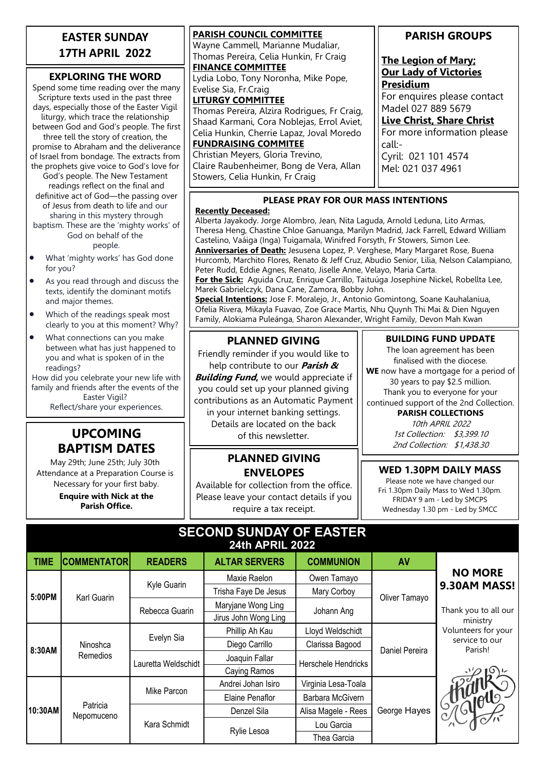## **EASTER SUNDAY 17TH APRIL 2022**

#### **EXPLORING THE WORD**

Spend some time reading over the many Scripture texts used in the past three days, especially those of the Easter Vigil liturgy, which trace the relationship between God and God's people. The first three tell the story of creation, the promise to Abraham and the deliverance of Israel from bondage. The extracts from the prophets give voice to God's love for God's people. The New Testament readings reflect on the final and definitive act of God—the passing over of Jesus from death to life and our sharing in this mystery through baptism. These are the 'mighty works' of God on behalf of the people.

- What 'mighty works' has God done for you?
- As you read through and discuss the texts, identify the dominant motifs and major themes.
- Which of the readings speak most clearly to you at this moment? Why?
- What connections can you make between what has just happened to you and what is spoken of in the readings?

How did you celebrate your new life with family and friends after the events of the Easter Vigil? Reflect/share your experiences.

## **UPCOMING BAPTISM DATES**

May 29th; June 25th; July 30th Attendance at a Preparation Course is Necessary for your first baby.

> **Enquire with Nick at the Parish Office.**

| <b>PARISH COUNCIL COMMITTEE</b>             |
|---------------------------------------------|
| Wayne Cammell, Marianne Mudaliar,           |
| Thomas Pereira, Celia Hunkin, Fr Craig      |
| <b>FINANCE COMMITTEE</b>                    |
| Lydia Lobo, Tony Noronha, Mike Pope,        |
| Evelise Sia, Fr.Craig                       |
| <b>LITURGY COMMITTEE</b>                    |
| Thomas Pereira, Alzira Rodrigues, Fr Craig, |
| Shaad Karmani, Cora Noblejas, Errol Aviet,  |
| Celia Hunkin, Cherrie Lapaz, Joval Moredo   |
| <b>FUNDRAISING COMMITEE</b>                 |
| Christian Meyers, Gloria Trevino,           |
|                                             |

Claire Raubenheimer, Bong de Vera, Allan Stowers, Celia Hunkin, Fr Craig

## **PARISH GROUPS**

#### **The Legion of Mary; Our Lady of Victories Presidium**

For enquires please contact Madel 027 889 5679

**Live Christ, Share Christ**

For more information please call:- Cyril: 021 101 4574

Mel: 021 037 4961

#### **PLEASE PRAY FOR OUR MASS INTENTIONS**

#### **Recently Deceased:**

Alberta Jayakody. Jorge Alombro, Jean, Nita Laguda, Arnold Leduna, Lito Armas, Theresa Heng, Chastine Chloe Ganuanga, Marilyn Madrid, Jack Farrell, Edward William Castelino, Vaáiga (Inga) Tuigamala, Winifred Forsyth, Fr Stowers, Simon Lee. **Anniversaries of Death:** Jesusena Lopez, P. Verghese, Mary Margaret Rose, Buena Hurcomb, Marchito Flores, Renato & Jeff Cruz, Abudio Senior, Lilia, Nelson Calampiano, Peter Rudd, Eddie Agnes, Renato, Jiselle Anne, Velayo, Maria Carta.

**For the Sick:** Aguida Cruz, Enrique Carrillo, Taituúga Josephine Nickel, Robellta Lee, Marek Gabrielczyk, Dana Cane, Zamora, Bobby John.

**Special Intentions:** Jose F. Moralejo, Jr., Antonio Gomintong, Soane Kauhalaniua, Ofelia Rivera, Mikayla Fuavao, Zoe Grace Martis, Nhu Quynh Thi Mai & Dien Nguyen Family, Alokiama Puleánga, Sharon Alexander, Wright Family, Devon Mah Kwan

## **PLANNED GIVING**

Friendly reminder if you would like to help contribute to our **Parish & Building Fund**, we would appreciate if

you could set up your planned giving contributions as an Automatic Payment

in your internet banking settings. Details are located on the back of this newsletter.

## **PLANNED GIVING ENVELOPES**

Available for collection from the office. Please leave your contact details if you require a tax receipt.

#### **BUILDING FUND UPDATE**

The loan agreement has been finalised with the diocese. **WE** now have a mortgage for a period of

30 years to pay \$2.5 million. Thank you to everyone for your continued support of the 2nd Collection.

**PARISH COLLECTIONS**

10th APRIL 2022 1st Collection: \$3,399.10 2nd Collection: \$1,438.30

### **WED 1.30PM DAILY MASS**

Please note we have changed our Fri 1.30pm Daily Mass to Wed 1.30pm. FRIDAY 9 am - Led by SMCPS Wednesday 1.30 pm - Led by SMCC

| <b>SECOND SUNDAY OF EASTER</b> |
|--------------------------------|
| <b>24th APRIL 2022</b>         |

| <b>TIME</b> | <b>COMMENTATOR</b>     | <b>READERS</b>      | <b>ALTAR SERVERS</b> | <b>COMMUNION</b>    | <b>AV</b>      |                           |
|-------------|------------------------|---------------------|----------------------|---------------------|----------------|---------------------------|
| 5:00PM      | Karl Guarin            | Kyle Guarin         | Maxie Raelon         | Owen Tamayo         | Oliver Tamayo  | <b>NO MORE</b>            |
|             |                        |                     | Trisha Faye De Jesus | Mary Corboy         |                | 9.30AM MASS!              |
|             |                        | Rebecca Guarin      | Maryjane Wong Ling   | Johann Ang          |                | Thank you to all our      |
|             |                        |                     | Jirus John Wong Ling |                     |                | ministry                  |
| 8:30AM      | Ninoshca<br>Remedios   | Evelyn Sia          | Phillip Ah Kau       | Lloyd Weldschidt    | Daniel Pereira | Volunteers for your       |
|             |                        |                     | Diego Carrillo       | Clarissa Bagood     |                | service to our<br>Parish! |
|             |                        | Lauretta Weldschidt | Joaquin Fallar       | Herschele Hendricks |                |                           |
|             |                        |                     | Caying Ramos         |                     |                |                           |
| 10:30AM     | Patricia<br>Nepomuceno | Mike Parcon         | Andrei Johan Isiro   | Virginia Lesa-Toala | George Hayes   |                           |
|             |                        |                     | Elaine Penaflor      | Barbara McGivern    |                |                           |
|             |                        | Kara Schmidt        | Denzel Sila          | Alisa Magele - Rees |                | I July out                |
|             |                        |                     | Rylie Lesoa          | Lou Garcia          |                |                           |
|             |                        |                     |                      | Thea Garcia         |                |                           |